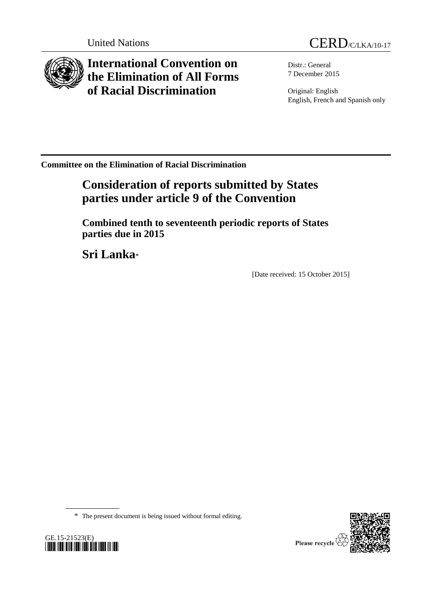

**International Convention on the Elimination of All Forms of Racial Discrimination**

Distr.: General 7 December 2015

Original: English English, French and Spanish only

**Committee on the Elimination of Racial Discrimination**

# **Consideration of reports submitted by States parties under article 9 of the Convention**

**Combined tenth to seventeenth periodic reports of States parties due in 2015**

**Sri Lanka**\*

[Date received: 15 October 2015]

\* The present document is being issued without formal editing.



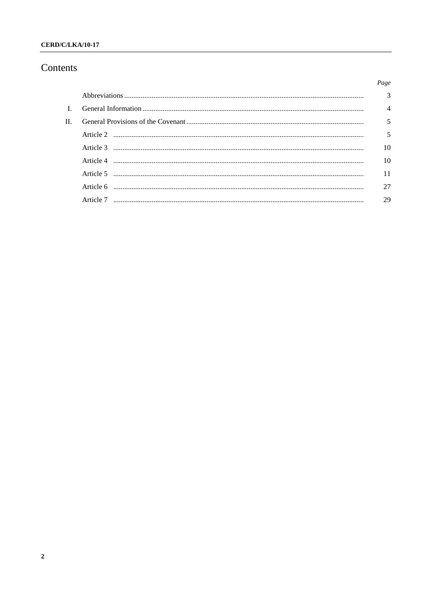## CERD/C/LKA/10-17

## Contents

|         |           | Page           |
|---------|-----------|----------------|
|         |           | 3              |
|         |           | $\overline{A}$ |
| $\Pi$ . |           | 5              |
|         |           | 5              |
|         |           | 10             |
|         |           | 10             |
|         |           | 11             |
|         |           | 27             |
|         | Article 7 | 29             |
|         |           |                |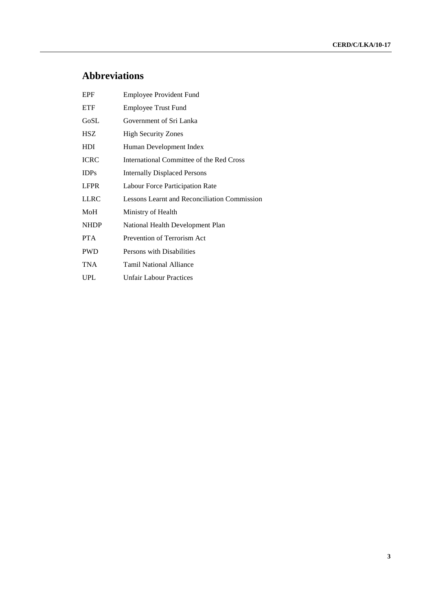# **Abbreviations**

| <b>EPF</b>  | <b>Employee Provident Fund</b>               |
|-------------|----------------------------------------------|
| <b>ETF</b>  | <b>Employee Trust Fund</b>                   |
| GoSL        | Government of Sri Lanka                      |
| <b>HSZ</b>  | <b>High Security Zones</b>                   |
| <b>HDI</b>  | Human Development Index                      |
| <b>ICRC</b> | International Committee of the Red Cross     |
| <b>IDPs</b> | <b>Internally Displaced Persons</b>          |
| <b>LFPR</b> | Labour Force Participation Rate              |
| <b>LLRC</b> | Lessons Learnt and Reconciliation Commission |
| MoH         | Ministry of Health                           |
| <b>NHDP</b> | National Health Development Plan             |
| <b>PTA</b>  | Prevention of Terrorism Act                  |
| <b>PWD</b>  | Persons with Disabilities                    |
| TNA         | <b>Tamil National Alliance</b>               |
| UPL.        | <b>Unfair Labour Practices</b>               |
|             |                                              |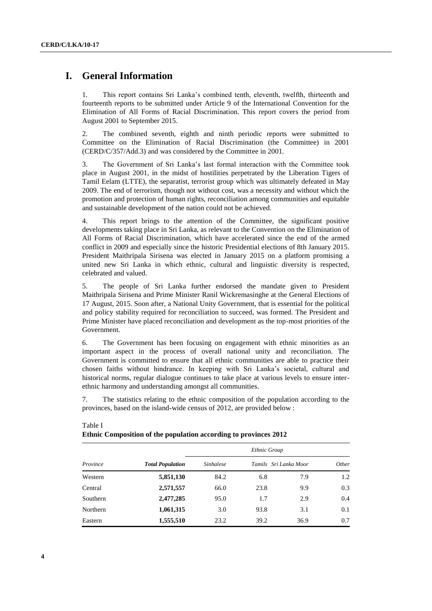## **I. General Information**

1. This report contains Sri Lanka's combined tenth, eleventh, twelfth, thirteenth and fourteenth reports to be submitted under Article 9 of the International Convention for the Elimination of All Forms of Racial Discrimination. This report covers the period from August 2001 to September 2015.

2. The combined seventh, eighth and ninth periodic reports were submitted to Committee on the Elimination of Racial Discrimination (the Committee) in 2001 (CERD/C/357/Add.3) and was considered by the Committee in 2001.

3. The Government of Sri Lanka's last formal interaction with the Committee took place in August 2001, in the midst of hostilities perpetrated by the Liberation Tigers of Tamil Eelam (LTTE), the separatist, terrorist group which was ultimately defeated in May 2009. The end of terrorism, though not without cost, was a necessity and without which the promotion and protection of human rights, reconciliation among communities and equitable and sustainable development of the nation could not be achieved.

4. This report brings to the attention of the Committee, the significant positive developments taking place in Sri Lanka, as relevant to the Convention on the Elimination of All Forms of Racial Discrimination, which have accelerated since the end of the armed conflict in 2009 and especially since the historic Presidential elections of 8th January 2015. President Maithripala Sirisena was elected in January 2015 on a platform promising a united new Sri Lanka in which ethnic, cultural and linguistic diversity is respected, celebrated and valued.

5. The people of Sri Lanka further endorsed the mandate given to President Maithripala Sirisena and Prime Minister Ranil Wickremasinghe at the General Elections of 17 August, 2015. Soon after, a National Unity Government, that is essential for the political and policy stability required for reconciliation to succeed, was formed. The President and Prime Minister have placed reconciliation and development as the top-most priorities of the Government.

6. The Government has been focusing on engagement with ethnic minorities as an important aspect in the process of overall national unity and reconciliation. The Government is committed to ensure that all ethnic communities are able to practice their chosen faiths without hindrance. In keeping with Sri Lanka's societal, cultural and historical norms, regular dialogue continues to take place at various levels to ensure interethnic harmony and understanding amongst all communities.

7. The statistics relating to the ethnic composition of the population according to the provinces, based on the island-wide census of 2012, are provided below :

|          |                         | Ethnic Group     |                       |      |       |  |
|----------|-------------------------|------------------|-----------------------|------|-------|--|
| Province | <b>Total Population</b> | <i>Sinhalese</i> | Tamils Sri Lanka Moor |      | Other |  |
| Western  | 5,851,130               | 84.2             | 6.8                   | 7.9  | 1.2   |  |
| Central  | 2,571,557               | 66.0             | 23.8                  | 9.9  | 0.3   |  |
| Southern | 2,477,285               | 95.0             | 1.7                   | 2.9  | 0.4   |  |
| Northern | 1,061,315               | 3.0              | 93.8                  | 3.1  | 0.1   |  |
| Eastern  | 1,555,510               | 23.2             | 39.2                  | 36.9 | 0.7   |  |

## Table I **Ethnic Composition of the population according to provinces 2012**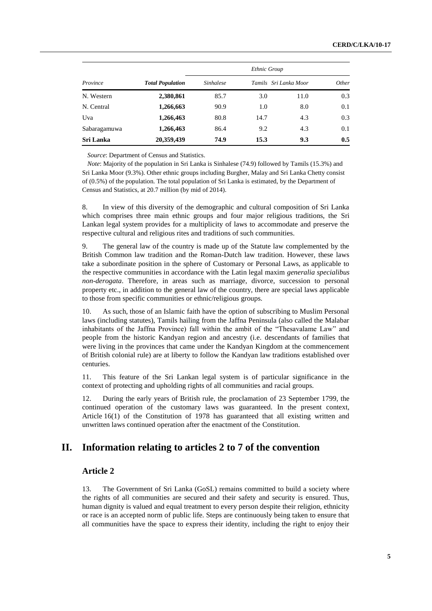|              |                         |                  | Ethnic Group          |      |       |  |
|--------------|-------------------------|------------------|-----------------------|------|-------|--|
| Province     | <b>Total Population</b> | <b>Sinhalese</b> | Tamils Sri Lanka Moor |      | Other |  |
| N. Western   | 2,380,861               | 85.7             | 3.0                   | 11.0 | 0.3   |  |
| N. Central   | 1,266,663               | 90.9             | 1.0                   | 8.0  | 0.1   |  |
| Uva          | 1,266,463               | 80.8             | 14.7                  | 4.3  | 0.3   |  |
| Sabaragamuwa | 1,266,463               | 86.4             | 9.2                   | 4.3  | 0.1   |  |
| Sri Lanka    | 20,359,439              | 74.9             | 15.3                  | 9.3  | 0.5   |  |

*Source*: Department of Census and Statistics.

*Note*: Majority of the population in Sri Lanka is Sinhalese (74.9) followed by Tamils (15.3%) and Sri Lanka Moor (9.3%). Other ethnic groups including Burgher, Malay and Sri Lanka Chetty consist of (0.5%) of the population. The total population of Sri Lanka is estimated, by the Department of Census and Statistics, at 20.7 million (by mid of 2014).

8. In view of this diversity of the demographic and cultural composition of Sri Lanka which comprises three main ethnic groups and four major religious traditions, the Sri Lankan legal system provides for a multiplicity of laws to accommodate and preserve the respective cultural and religious rites and traditions of such communities.

9. The general law of the country is made up of the Statute law complemented by the British Common law tradition and the Roman-Dutch law tradition. However, these laws take a subordinate position in the sphere of Customary or Personal Laws, as applicable to the respective communities in accordance with the Latin legal maxim *generalia specialibus non-derogata*. Therefore, in areas such as marriage, divorce, succession to personal property etc., in addition to the general law of the country, there are special laws applicable to those from specific communities or ethnic/religious groups.

10. As such, those of an Islamic faith have the option of subscribing to Muslim Personal laws (including statutes), Tamils hailing from the Jaffna Peninsula (also called the Malabar inhabitants of the Jaffna Province) fall within the ambit of the "Thesavalame Law" and people from the historic Kandyan region and ancestry (i.e. descendants of families that were living in the provinces that came under the Kandyan Kingdom at the commencement of British colonial rule) are at liberty to follow the Kandyan law traditions established over centuries.

11. This feature of the Sri Lankan legal system is of particular significance in the context of protecting and upholding rights of all communities and racial groups.

12. During the early years of British rule, the proclamation of 23 September 1799, the continued operation of the customary laws was guaranteed. In the present context, Article 16(1) of the Constitution of 1978 has guaranteed that all existing written and unwritten laws continued operation after the enactment of the Constitution.

## **II. Information relating to articles 2 to 7 of the convention**

## **Article 2**

13. The Government of Sri Lanka (GoSL) remains committed to build a society where the rights of all communities are secured and their safety and security is ensured. Thus, human dignity is valued and equal treatment to every person despite their religion, ethnicity or race is an accepted norm of public life. Steps are continuously being taken to ensure that all communities have the space to express their identity, including the right to enjoy their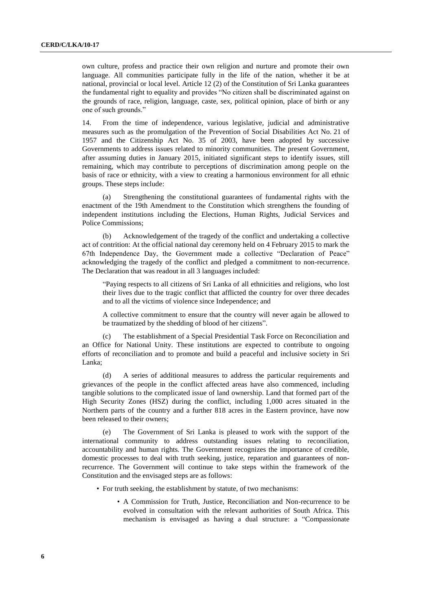own culture, profess and practice their own religion and nurture and promote their own language. All communities participate fully in the life of the nation, whether it be at national, provincial or local level. Article 12 (2) of the Constitution of Sri Lanka guarantees the fundamental right to equality and provides "No citizen shall be discriminated against on the grounds of race, religion, language, caste, sex, political opinion, place of birth or any one of such grounds."

14. From the time of independence, various legislative, judicial and administrative measures such as the promulgation of the Prevention of Social Disabilities Act No. 21 of 1957 and the Citizenship Act No. 35 of 2003, have been adopted by successive Governments to address issues related to minority communities. The present Government, after assuming duties in January 2015, initiated significant steps to identify issues, still remaining, which may contribute to perceptions of discrimination among people on the basis of race or ethnicity, with a view to creating a harmonious environment for all ethnic groups. These steps include:

(a) Strengthening the constitutional guarantees of fundamental rights with the enactment of the 19th Amendment to the Constitution which strengthens the founding of independent institutions including the Elections, Human Rights, Judicial Services and Police Commissions;

(b) Acknowledgement of the tragedy of the conflict and undertaking a collective act of contrition: At the official national day ceremony held on 4 February 2015 to mark the 67th Independence Day, the Government made a collective "Declaration of Peace" acknowledging the tragedy of the conflict and pledged a commitment to non-recurrence. The Declaration that was readout in all 3 languages included:

"Paying respects to all citizens of Sri Lanka of all ethnicities and religions, who lost their lives due to the tragic conflict that afflicted the country for over three decades and to all the victims of violence since Independence; and

A collective commitment to ensure that the country will never again be allowed to be traumatized by the shedding of blood of her citizens".

The establishment of a Special Presidential Task Force on Reconciliation and an Office for National Unity. These institutions are expected to contribute to ongoing efforts of reconciliation and to promote and build a peaceful and inclusive society in Sri Lanka;

(d) A series of additional measures to address the particular requirements and grievances of the people in the conflict affected areas have also commenced, including tangible solutions to the complicated issue of land ownership. Land that formed part of the High Security Zones (HSZ) during the conflict, including 1,000 acres situated in the Northern parts of the country and a further 818 acres in the Eastern province, have now been released to their owners;

(e) The Government of Sri Lanka is pleased to work with the support of the international community to address outstanding issues relating to reconciliation, accountability and human rights. The Government recognizes the importance of credible, domestic processes to deal with truth seeking, justice, reparation and guarantees of nonrecurrence. The Government will continue to take steps within the framework of the Constitution and the envisaged steps are as follows:

- For truth seeking, the establishment by statute, of two mechanisms:
	- A Commission for Truth, Justice, Reconciliation and Non-recurrence to be evolved in consultation with the relevant authorities of South Africa. This mechanism is envisaged as having a dual structure: a "Compassionate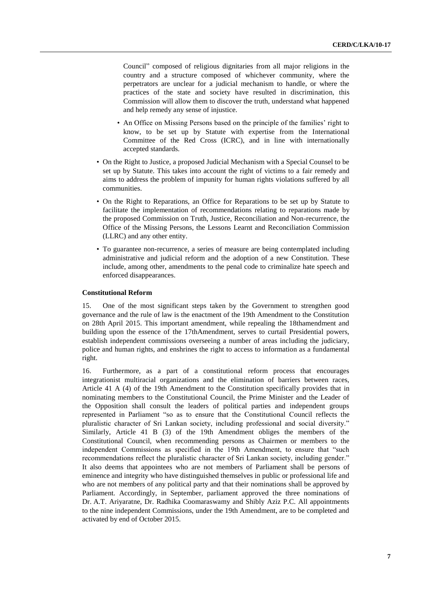Council" composed of religious dignitaries from all major religions in the country and a structure composed of whichever community, where the perpetrators are unclear for a judicial mechanism to handle, or where the practices of the state and society have resulted in discrimination, this Commission will allow them to discover the truth, understand what happened and help remedy any sense of injustice.

- An Office on Missing Persons based on the principle of the families' right to know, to be set up by Statute with expertise from the International Committee of the Red Cross (ICRC), and in line with internationally accepted standards.
- On the Right to Justice, a proposed Judicial Mechanism with a Special Counsel to be set up by Statute. This takes into account the right of victims to a fair remedy and aims to address the problem of impunity for human rights violations suffered by all communities.
- On the Right to Reparations, an Office for Reparations to be set up by Statute to facilitate the implementation of recommendations relating to reparations made by the proposed Commission on Truth, Justice, Reconciliation and Non-recurrence, the Office of the Missing Persons, the Lessons Learnt and Reconciliation Commission (LLRC) and any other entity.
- To guarantee non-recurrence, a series of measure are being contemplated including administrative and judicial reform and the adoption of a new Constitution. These include, among other, amendments to the penal code to criminalize hate speech and enforced disappearances.

#### **Constitutional Reform**

15. One of the most significant steps taken by the Government to strengthen good governance and the rule of law is the enactment of the 19th Amendment to the Constitution on 28th April 2015. This important amendment, while repealing the 18thamendment and building upon the essence of the 17thAmendment, serves to curtail Presidential powers, establish independent commissions overseeing a number of areas including the judiciary, police and human rights, and enshrines the right to access to information as a fundamental right.

16. Furthermore, as a part of a constitutional reform process that encourages integrationist multiracial organizations and the elimination of barriers between races, Article 41 A (4) of the 19th Amendment to the Constitution specifically provides that in nominating members to the Constitutional Council, the Prime Minister and the Leader of the Opposition shall consult the leaders of political parties and independent groups represented in Parliament "so as to ensure that the Constitutional Council reflects the pluralistic character of Sri Lankan society, including professional and social diversity." Similarly, Article 41 B (3) of the 19th Amendment obliges the members of the Constitutional Council, when recommending persons as Chairmen or members to the independent Commissions as specified in the 19th Amendment, to ensure that "such recommendations reflect the pluralistic character of Sri Lankan society, including gender." It also deems that appointees who are not members of Parliament shall be persons of eminence and integrity who have distinguished themselves in public or professional life and who are not members of any political party and that their nominations shall be approved by Parliament. Accordingly, in September, parliament approved the three nominations of Dr. A.T. Ariyaratne, Dr. Radhika Coomaraswamy and Shibly Aziz P.C. All appointments to the nine independent Commissions, under the 19th Amendment, are to be completed and activated by end of October 2015.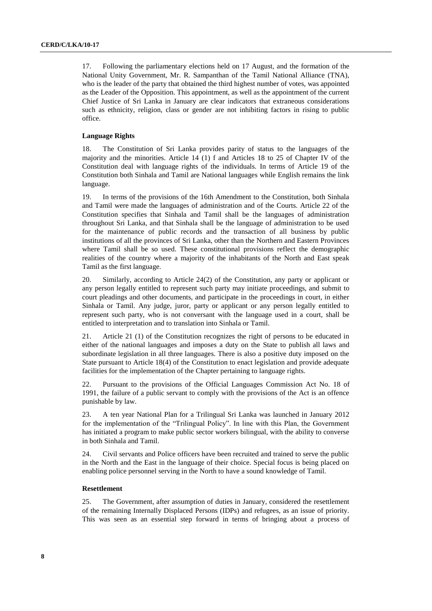17. Following the parliamentary elections held on 17 August, and the formation of the National Unity Government, Mr. R. Sampanthan of the Tamil National Alliance (TNA), who is the leader of the party that obtained the third highest number of votes, was appointed as the Leader of the Opposition. This appointment, as well as the appointment of the current Chief Justice of Sri Lanka in January are clear indicators that extraneous considerations such as ethnicity, religion, class or gender are not inhibiting factors in rising to public office.

#### **Language Rights**

18. The Constitution of Sri Lanka provides parity of status to the languages of the majority and the minorities. Article 14 (1) f and Articles 18 to 25 of Chapter IV of the Constitution deal with language rights of the individuals. In terms of Article 19 of the Constitution both Sinhala and Tamil are National languages while English remains the link language.

19. In terms of the provisions of the 16th Amendment to the Constitution, both Sinhala and Tamil were made the languages of administration and of the Courts. Article 22 of the Constitution specifies that Sinhala and Tamil shall be the languages of administration throughout Sri Lanka, and that Sinhala shall be the language of administration to be used for the maintenance of public records and the transaction of all business by public institutions of all the provinces of Sri Lanka, other than the Northern and Eastern Provinces where Tamil shall be so used. These constitutional provisions reflect the demographic realities of the country where a majority of the inhabitants of the North and East speak Tamil as the first language.

20. Similarly, according to Article 24(2) of the Constitution, any party or applicant or any person legally entitled to represent such party may initiate proceedings, and submit to court pleadings and other documents, and participate in the proceedings in court, in either Sinhala or Tamil. Any judge, juror, party or applicant or any person legally entitled to represent such party, who is not conversant with the language used in a court, shall be entitled to interpretation and to translation into Sinhala or Tamil.

21. Article 21 (1) of the Constitution recognizes the right of persons to be educated in either of the national languages and imposes a duty on the State to publish all laws and subordinate legislation in all three languages. There is also a positive duty imposed on the State pursuant to Article 18(4) of the Constitution to enact legislation and provide adequate facilities for the implementation of the Chapter pertaining to language rights.

22. Pursuant to the provisions of the Official Languages Commission Act No. 18 of 1991, the failure of a public servant to comply with the provisions of the Act is an offence punishable by law.

23. A ten year National Plan for a Trilingual Sri Lanka was launched in January 2012 for the implementation of the "Trilingual Policy". In line with this Plan, the Government has initiated a program to make public sector workers bilingual, with the ability to converse in both Sinhala and Tamil.

24. Civil servants and Police officers have been recruited and trained to serve the public in the North and the East in the language of their choice. Special focus is being placed on enabling police personnel serving in the North to have a sound knowledge of Tamil.

#### **Resettlement**

25. The Government, after assumption of duties in January, considered the resettlement of the remaining Internally Displaced Persons (IDPs) and refugees, as an issue of priority. This was seen as an essential step forward in terms of bringing about a process of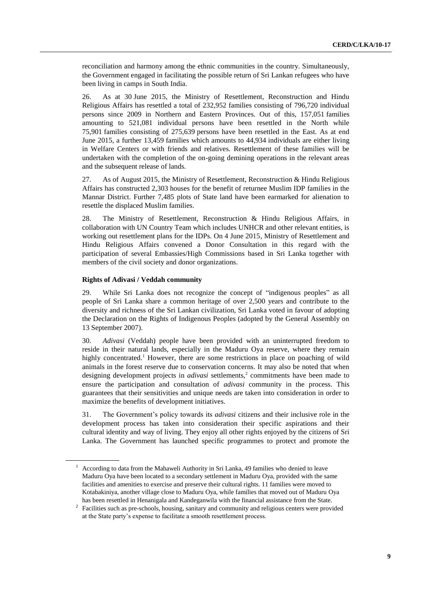reconciliation and harmony among the ethnic communities in the country. Simultaneously, the Government engaged in facilitating the possible return of Sri Lankan refugees who have been living in camps in South India.

26. As at 30 June 2015, the Ministry of Resettlement, Reconstruction and Hindu Religious Affairs has resettled a total of 232,952 families consisting of 796,720 individual persons since 2009 in Northern and Eastern Provinces. Out of this, 157,051 families amounting to 521,081 individual persons have been resettled in the North while 75,901 families consisting of 275,639 persons have been resettled in the East. As at end June 2015, a further 13,459 families which amounts to 44,934 individuals are either living in Welfare Centers or with friends and relatives. Resettlement of these families will be undertaken with the completion of the on-going demining operations in the relevant areas and the subsequent release of lands.

27. As of August 2015, the Ministry of Resettlement, Reconstruction & Hindu Religious Affairs has constructed 2,303 houses for the benefit of returnee Muslim IDP families in the Mannar District. Further 7,485 plots of State land have been earmarked for alienation to resettle the displaced Muslim families.

28. The Ministry of Resettlement, Reconstruction & Hindu Religious Affairs, in collaboration with UN Country Team which includes UNHCR and other relevant entities, is working out resettlement plans for the IDPs. On 4 June 2015, Ministry of Resettlement and Hindu Religious Affairs convened a Donor Consultation in this regard with the participation of several Embassies/High Commissions based in Sri Lanka together with members of the civil society and donor organizations.

#### **Rights of Adivasi / Veddah community**

29. While Sri Lanka does not recognize the concept of "indigenous peoples" as all people of Sri Lanka share a common heritage of over 2,500 years and contribute to the diversity and richness of the Sri Lankan civilization, Sri Lanka voted in favour of adopting the Declaration on the Rights of Indigenous Peoples (adopted by the General Assembly on 13 September 2007).

30. *Adivasi* (Veddah) people have been provided with an uninterrupted freedom to reside in their natural lands, especially in the Maduru Oya reserve, where they remain highly concentrated.<sup>1</sup> However, there are some restrictions in place on poaching of wild animals in the forest reserve due to conservation concerns. It may also be noted that when designing development projects in *adivasi* settlements,<sup>2</sup> commitments have been made to ensure the participation and consultation of *adivasi* community in the process. This guarantees that their sensitivities and unique needs are taken into consideration in order to maximize the benefits of development initiatives.

31. The Government's policy towards its *adivasi* citizens and their inclusive role in the development process has taken into consideration their specific aspirations and their cultural identity and way of living. They enjoy all other rights enjoyed by the citizens of Sri Lanka. The Government has launched specific programmes to protect and promote the

 $1$  According to data from the Mahaweli Authority in Sri Lanka, 49 families who denied to leave Maduru Oya have been located to a secondary settlement in Maduru Oya, provided with the same facilities and amenities to exercise and preserve their cultural rights. 11 families were moved to Kotabakiniya, another village close to Maduru Oya, while families that moved out of Maduru Oya has been resettled in Henanigala and Kandeganwila with the financial assistance from the State.

<sup>&</sup>lt;sup>2</sup> Facilities such as pre-schools, housing, sanitary and community and religious centers were provided at the State party's expense to facilitate a smooth resettlement process.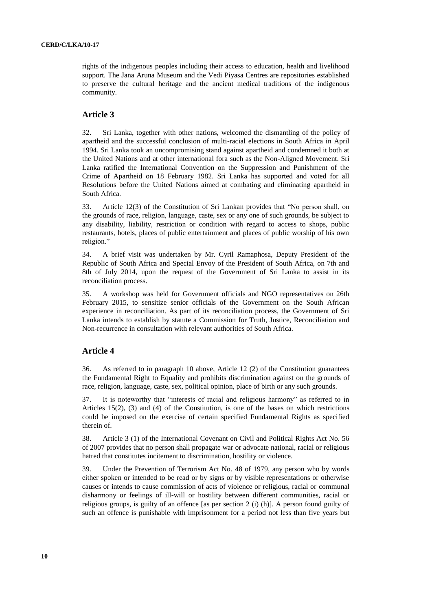rights of the indigenous peoples including their access to education, health and livelihood support. The Jana Aruna Museum and the Vedi Piyasa Centres are repositories established to preserve the cultural heritage and the ancient medical traditions of the indigenous community.

## **Article 3**

32. Sri Lanka, together with other nations, welcomed the dismantling of the policy of apartheid and the successful conclusion of multi-racial elections in South Africa in April 1994. Sri Lanka took an uncompromising stand against apartheid and condemned it both at the United Nations and at other international fora such as the Non-Aligned Movement. Sri Lanka ratified the International Convention on the Suppression and Punishment of the Crime of Apartheid on 18 February 1982. Sri Lanka has supported and voted for all Resolutions before the United Nations aimed at combating and eliminating apartheid in South Africa.

33. Article 12(3) of the Constitution of Sri Lankan provides that "No person shall, on the grounds of race, religion, language, caste, sex or any one of such grounds, be subject to any disability, liability, restriction or condition with regard to access to shops, public restaurants, hotels, places of public entertainment and places of public worship of his own religion."

34. A brief visit was undertaken by Mr. Cyril Ramaphosa, Deputy President of the Republic of South Africa and Special Envoy of the President of South Africa, on 7th and 8th of July 2014, upon the request of the Government of Sri Lanka to assist in its reconciliation process.

35. A workshop was held for Government officials and NGO representatives on 26th February 2015, to sensitize senior officials of the Government on the South African experience in reconciliation. As part of its reconciliation process, the Government of Sri Lanka intends to establish by statute a Commission for Truth, Justice, Reconciliation and Non-recurrence in consultation with relevant authorities of South Africa.

## **Article 4**

36. As referred to in paragraph 10 above, Article 12 (2) of the Constitution guarantees the Fundamental Right to Equality and prohibits discrimination against on the grounds of race, religion, language, caste, sex, political opinion, place of birth or any such grounds.

37. It is noteworthy that "interests of racial and religious harmony" as referred to in Articles 15(2), (3) and (4) of the Constitution, is one of the bases on which restrictions could be imposed on the exercise of certain specified Fundamental Rights as specified therein of.

38. Article 3 (1) of the International Covenant on Civil and Political Rights Act No. 56 of 2007 provides that no person shall propagate war or advocate national, racial or religious hatred that constitutes incitement to discrimination, hostility or violence.

39. Under the Prevention of Terrorism Act No. 48 of 1979, any person who by words either spoken or intended to be read or by signs or by visible representations or otherwise causes or intends to cause commission of acts of violence or religious, racial or communal disharmony or feelings of ill-will or hostility between different communities, racial or religious groups, is guilty of an offence [as per section 2 (i) (h)]. A person found guilty of such an offence is punishable with imprisonment for a period not less than five years but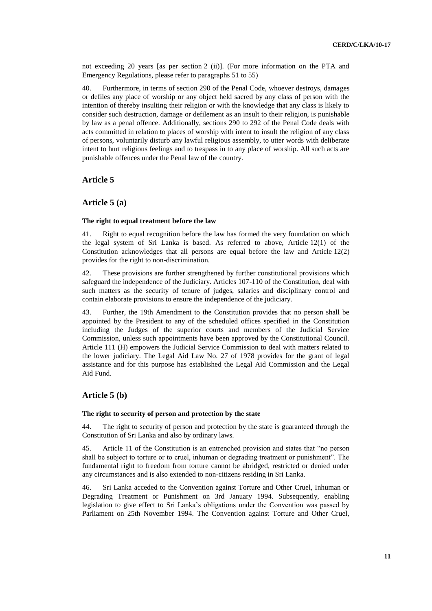not exceeding 20 years [as per section 2 (ii)]. (For more information on the PTA and Emergency Regulations, please refer to paragraphs 51 to 55)

40. Furthermore, in terms of section 290 of the Penal Code, whoever destroys, damages or defiles any place of worship or any object held sacred by any class of person with the intention of thereby insulting their religion or with the knowledge that any class is likely to consider such destruction, damage or defilement as an insult to their religion, is punishable by law as a penal offence. Additionally, sections 290 to 292 of the Penal Code deals with acts committed in relation to places of worship with intent to insult the religion of any class of persons, voluntarily disturb any lawful religious assembly, to utter words with deliberate intent to hurt religious feelings and to trespass in to any place of worship. All such acts are punishable offences under the Penal law of the country.

## **Article 5**

## **Article 5 (a)**

#### **The right to equal treatment before the law**

41. Right to equal recognition before the law has formed the very foundation on which the legal system of Sri Lanka is based. As referred to above, Article 12(1) of the Constitution acknowledges that all persons are equal before the law and Article 12(2) provides for the right to non-discrimination.

42. These provisions are further strengthened by further constitutional provisions which safeguard the independence of the Judiciary. Articles 107-110 of the Constitution, deal with such matters as the security of tenure of judges, salaries and disciplinary control and contain elaborate provisions to ensure the independence of the judiciary.

43. Further, the 19th Amendment to the Constitution provides that no person shall be appointed by the President to any of the scheduled offices specified in the Constitution including the Judges of the superior courts and members of the Judicial Service Commission, unless such appointments have been approved by the Constitutional Council. Article 111 (H) empowers the Judicial Service Commission to deal with matters related to the lower judiciary. The Legal Aid Law No. 27 of 1978 provides for the grant of legal assistance and for this purpose has established the Legal Aid Commission and the Legal Aid Fund.

## **Article 5 (b)**

#### **The right to security of person and protection by the state**

44. The right to security of person and protection by the state is guaranteed through the Constitution of Sri Lanka and also by ordinary laws.

45. Article 11 of the Constitution is an entrenched provision and states that "no person shall be subject to torture or to cruel, inhuman or degrading treatment or punishment". The fundamental right to freedom from torture cannot be abridged, restricted or denied under any circumstances and is also extended to non-citizens residing in Sri Lanka.

46. Sri Lanka acceded to the Convention against Torture and Other Cruel, Inhuman or Degrading Treatment or Punishment on 3rd January 1994. Subsequently, enabling legislation to give effect to Sri Lanka's obligations under the Convention was passed by Parliament on 25th November 1994. The Convention against Torture and Other Cruel,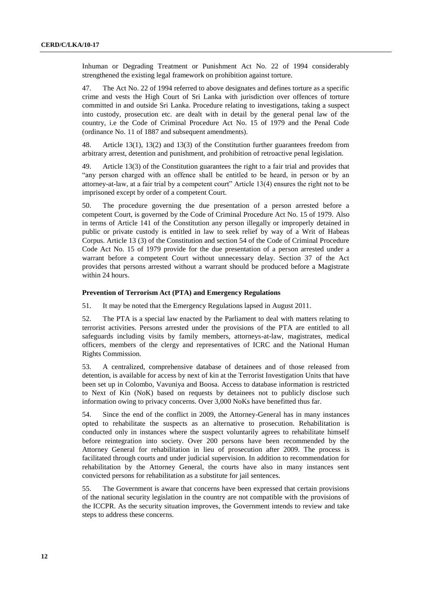Inhuman or Degrading Treatment or Punishment Act No. 22 of 1994 considerably strengthened the existing legal framework on prohibition against torture.

47. The Act No. 22 of 1994 referred to above designates and defines torture as a specific crime and vests the High Court of Sri Lanka with jurisdiction over offences of torture committed in and outside Sri Lanka. Procedure relating to investigations, taking a suspect into custody, prosecution etc. are dealt with in detail by the general penal law of the country, i.e the Code of Criminal Procedure Act No. 15 of 1979 and the Penal Code (ordinance No. 11 of 1887 and subsequent amendments).

48. Article 13(1), 13(2) and 13(3) of the Constitution further guarantees freedom from arbitrary arrest, detention and punishment, and prohibition of retroactive penal legislation.

49. Article 13(3) of the Constitution guarantees the right to a fair trial and provides that "any person charged with an offence shall be entitled to be heard, in person or by an attorney-at-law, at a fair trial by a competent court" Article 13(4) ensures the right not to be imprisoned except by order of a competent Court.

50. The procedure governing the due presentation of a person arrested before a competent Court, is governed by the Code of Criminal Procedure Act No. 15 of 1979. Also in terms of Article 141 of the Constitution any person illegally or improperly detained in public or private custody is entitled in law to seek relief by way of a Writ of Habeas Corpus. Article 13 (3) of the Constitution and section 54 of the Code of Criminal Procedure Code Act No. 15 of 1979 provide for the due presentation of a person arrested under a warrant before a competent Court without unnecessary delay. Section 37 of the Act provides that persons arrested without a warrant should be produced before a Magistrate within 24 hours.

#### **Prevention of Terrorism Act (PTA) and Emergency Regulations**

51. It may be noted that the Emergency Regulations lapsed in August 2011.

52. The PTA is a special law enacted by the Parliament to deal with matters relating to terrorist activities. Persons arrested under the provisions of the PTA are entitled to all safeguards including visits by family members, attorneys-at-law, magistrates, medical officers, members of the clergy and representatives of ICRC and the National Human Rights Commission.

53. A centralized, comprehensive database of detainees and of those released from detention, is available for access by next of kin at the Terrorist Investigation Units that have been set up in Colombo, Vavuniya and Boosa. Access to database information is restricted to Next of Kin (NoK) based on requests by detainees not to publicly disclose such information owing to privacy concerns. Over 3,000 NoKs have benefitted thus far.

54. Since the end of the conflict in 2009, the Attorney-General has in many instances opted to rehabilitate the suspects as an alternative to prosecution. Rehabilitation is conducted only in instances where the suspect voluntarily agrees to rehabilitate himself before reintegration into society. Over 200 persons have been recommended by the Attorney General for rehabilitation in lieu of prosecution after 2009. The process is facilitated through courts and under judicial supervision. In addition to recommendation for rehabilitation by the Attorney General, the courts have also in many instances sent convicted persons for rehabilitation as a substitute for jail sentences.

55. The Government is aware that concerns have been expressed that certain provisions of the national security legislation in the country are not compatible with the provisions of the ICCPR. As the security situation improves, the Government intends to review and take steps to address these concerns.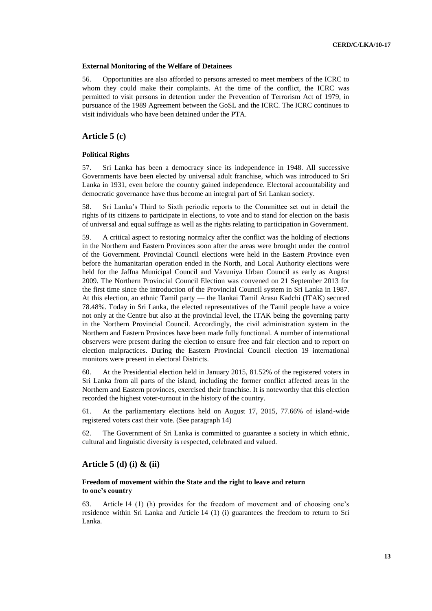#### **External Monitoring of the Welfare of Detainees**

56. Opportunities are also afforded to persons arrested to meet members of the ICRC to whom they could make their complaints. At the time of the conflict, the ICRC was permitted to visit persons in detention under the Prevention of Terrorism Act of 1979, in pursuance of the 1989 Agreement between the GoSL and the ICRC. The ICRC continues to visit individuals who have been detained under the PTA.

## **Article 5 (c)**

#### **Political Rights**

57. Sri Lanka has been a democracy since its independence in 1948. All successive Governments have been elected by universal adult franchise, which was introduced to Sri Lanka in 1931, even before the country gained independence. Electoral accountability and democratic governance have thus become an integral part of Sri Lankan society.

58. Sri Lanka's Third to Sixth periodic reports to the Committee set out in detail the rights of its citizens to participate in elections, to vote and to stand for election on the basis of universal and equal suffrage as well as the rights relating to participation in Government.

59. A critical aspect to restoring normalcy after the conflict was the holding of elections in the Northern and Eastern Provinces soon after the areas were brought under the control of the Government. Provincial Council elections were held in the Eastern Province even before the humanitarian operation ended in the North, and Local Authority elections were held for the Jaffna Municipal Council and Vavuniya Urban Council as early as August 2009. The Northern Provincial Council Election was convened on 21 September 2013 for the first time since the introduction of the Provincial Council system in Sri Lanka in 1987. At this election, an ethnic Tamil party — the Ilankai Tamil Arasu Kadchi (ITAK) secured 78.48%. Today in Sri Lanka, the elected representatives of the Tamil people have a voice not only at the Centre but also at the provincial level, the ITAK being the governing party in the Northern Provincial Council. Accordingly, the civil administration system in the Northern and Eastern Provinces have been made fully functional. A number of international observers were present during the election to ensure free and fair election and to report on election malpractices. During the Eastern Provincial Council election 19 international monitors were present in electoral Districts.

60. At the Presidential election held in January 2015, 81.52% of the registered voters in Sri Lanka from all parts of the island, including the former conflict affected areas in the Northern and Eastern provinces, exercised their franchise. It is noteworthy that this election recorded the highest voter-turnout in the history of the country.

61. At the parliamentary elections held on August 17, 2015, 77.66% of island-wide registered voters cast their vote. (See paragraph 14)

62. The Government of Sri Lanka is committed to guarantee a society in which ethnic, cultural and linguistic diversity is respected, celebrated and valued.

### **Article 5 (d) (i) & (ii)**

## **Freedom of movement within the State and the right to leave and return to one's country**

63. Article 14 (1) (h) provides for the freedom of movement and of choosing one's residence within Sri Lanka and Article 14 (1) (i) guarantees the freedom to return to Sri Lanka.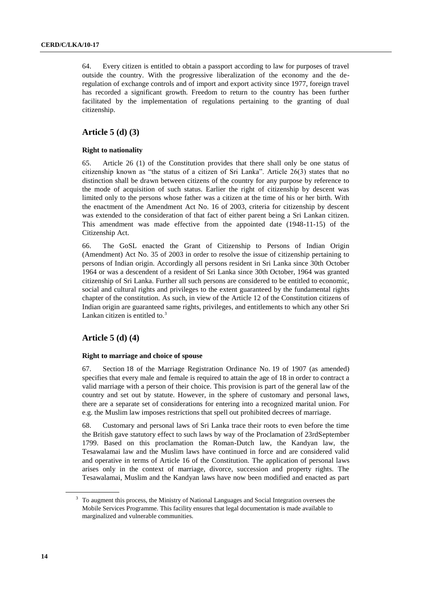64. Every citizen is entitled to obtain a passport according to law for purposes of travel outside the country. With the progressive liberalization of the economy and the deregulation of exchange controls and of import and export activity since 1977, foreign travel has recorded a significant growth. Freedom to return to the country has been further facilitated by the implementation of regulations pertaining to the granting of dual citizenship.

## **Article 5 (d) (3)**

#### **Right to nationality**

65. Article 26 (1) of the Constitution provides that there shall only be one status of citizenship known as "the status of a citizen of Sri Lanka". Article 26(3) states that no distinction shall be drawn between citizens of the country for any purpose by reference to the mode of acquisition of such status. Earlier the right of citizenship by descent was limited only to the persons whose father was a citizen at the time of his or her birth. With the enactment of the Amendment Act No. 16 of 2003, criteria for citizenship by descent was extended to the consideration of that fact of either parent being a Sri Lankan citizen. This amendment was made effective from the appointed date (1948-11-15) of the Citizenship Act.

66. The GoSL enacted the Grant of Citizenship to Persons of Indian Origin (Amendment) Act No. 35 of 2003 in order to resolve the issue of citizenship pertaining to persons of Indian origin. Accordingly all persons resident in Sri Lanka since 30th October 1964 or was a descendent of a resident of Sri Lanka since 30th October, 1964 was granted citizenship of Sri Lanka. Further all such persons are considered to be entitled to economic, social and cultural rights and privileges to the extent guaranteed by the fundamental rights chapter of the constitution. As such, in view of the Article 12 of the Constitution citizens of Indian origin are guaranteed same rights, privileges, and entitlements to which any other Sri Lankan citizen is entitled to. $3$ 

## **Article 5 (d) (4)**

#### **Right to marriage and choice of spouse**

67. Section 18 of the Marriage Registration Ordinance No. 19 of 1907 (as amended) specifies that every male and female is required to attain the age of 18 in order to contract a valid marriage with a person of their choice. This provision is part of the general law of the country and set out by statute. However, in the sphere of customary and personal laws, there are a separate set of considerations for entering into a recognized marital union. For e.g. the Muslim law imposes restrictions that spell out prohibited decrees of marriage.

68. Customary and personal laws of Sri Lanka trace their roots to even before the time the British gave statutory effect to such laws by way of the Proclamation of 23rdSeptember 1799. Based on this proclamation the Roman-Dutch law, the Kandyan law, the Tesawalamai law and the Muslim laws have continued in force and are considered valid and operative in terms of Article 16 of the Constitution. The application of personal laws arises only in the context of marriage, divorce, succession and property rights. The Tesawalamai, Muslim and the Kandyan laws have now been modified and enacted as part

<sup>3</sup> To augment this process, the Ministry of National Languages and Social Integration oversees the Mobile Services Programme. This facility ensures that legal documentation is made available to marginalized and vulnerable communities.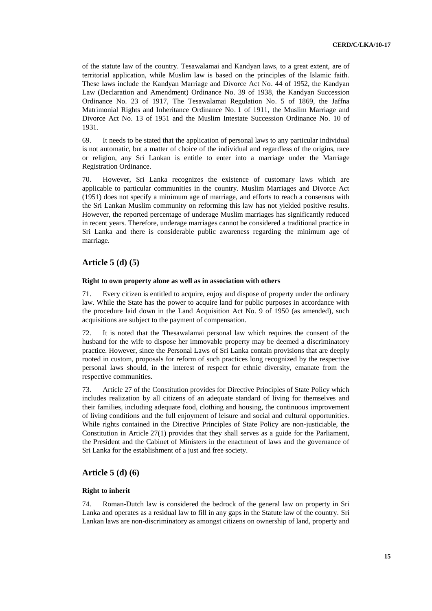of the statute law of the country. Tesawalamai and Kandyan laws, to a great extent, are of territorial application, while Muslim law is based on the principles of the Islamic faith. These laws include the Kandyan Marriage and Divorce Act No. 44 of 1952, the Kandyan Law (Declaration and Amendment) Ordinance No. 39 of 1938, the Kandyan Succession Ordinance No. 23 of 1917, The Tesawalamai Regulation No. 5 of 1869, the Jaffna Matrimonial Rights and Inheritance Ordinance No. 1 of 1911, the Muslim Marriage and Divorce Act No. 13 of 1951 and the Muslim Intestate Succession Ordinance No. 10 of 1931.

69. It needs to be stated that the application of personal laws to any particular individual is not automatic, but a matter of choice of the individual and regardless of the origins, race or religion, any Sri Lankan is entitle to enter into a marriage under the Marriage Registration Ordinance.

70. However, Sri Lanka recognizes the existence of customary laws which are applicable to particular communities in the country. Muslim Marriages and Divorce Act (1951) does not specify a minimum age of marriage, and efforts to reach a consensus with the Sri Lankan Muslim community on reforming this law has not yielded positive results. However, the reported percentage of underage Muslim marriages has significantly reduced in recent years. Therefore, underage marriages cannot be considered a traditional practice in Sri Lanka and there is considerable public awareness regarding the minimum age of marriage.

## **Article 5 (d) (5)**

#### **Right to own property alone as well as in association with others**

71. Every citizen is entitled to acquire, enjoy and dispose of property under the ordinary law. While the State has the power to acquire land for public purposes in accordance with the procedure laid down in the Land Acquisition Act No. 9 of 1950 (as amended), such acquisitions are subject to the payment of compensation.

72. It is noted that the Thesawalamai personal law which requires the consent of the husband for the wife to dispose her immovable property may be deemed a discriminatory practice. However, since the Personal Laws of Sri Lanka contain provisions that are deeply rooted in custom, proposals for reform of such practices long recognized by the respective personal laws should, in the interest of respect for ethnic diversity, emanate from the respective communities.

73. Article 27 of the Constitution provides for Directive Principles of State Policy which includes realization by all citizens of an adequate standard of living for themselves and their families, including adequate food, clothing and housing, the continuous improvement of living conditions and the full enjoyment of leisure and social and cultural opportunities. While rights contained in the Directive Principles of State Policy are non-justiciable, the Constitution in Article 27(1) provides that they shall serves as a guide for the Parliament, the President and the Cabinet of Ministers in the enactment of laws and the governance of Sri Lanka for the establishment of a just and free society.

## **Article 5 (d) (6)**

#### **Right to inherit**

74. Roman-Dutch law is considered the bedrock of the general law on property in Sri Lanka and operates as a residual law to fill in any gaps in the Statute law of the country. Sri Lankan laws are non-discriminatory as amongst citizens on ownership of land, property and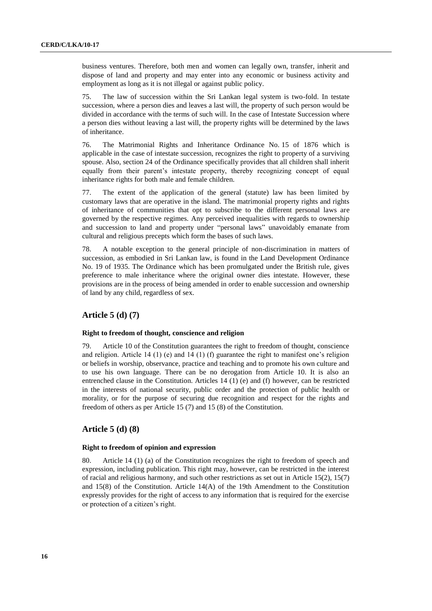business ventures. Therefore, both men and women can legally own, transfer, inherit and dispose of land and property and may enter into any economic or business activity and employment as long as it is not illegal or against public policy.

75. The law of succession within the Sri Lankan legal system is two-fold. In testate succession, where a person dies and leaves a last will, the property of such person would be divided in accordance with the terms of such will. In the case of Intestate Succession where a person dies without leaving a last will, the property rights will be determined by the laws of inheritance.

76. The Matrimonial Rights and Inheritance Ordinance No. 15 of 1876 which is applicable in the case of intestate succession, recognizes the right to property of a surviving spouse. Also, section 24 of the Ordinance specifically provides that all children shall inherit equally from their parent's intestate property, thereby recognizing concept of equal inheritance rights for both male and female children.

77. The extent of the application of the general (statute) law has been limited by customary laws that are operative in the island. The matrimonial property rights and rights of inheritance of communities that opt to subscribe to the different personal laws are governed by the respective regimes. Any perceived inequalities with regards to ownership and succession to land and property under "personal laws" unavoidably emanate from cultural and religious precepts which form the bases of such laws.

78. A notable exception to the general principle of non-discrimination in matters of succession, as embodied in Sri Lankan law, is found in the Land Development Ordinance No. 19 of 1935. The Ordinance which has been promulgated under the British rule, gives preference to male inheritance where the original owner dies intestate. However, these provisions are in the process of being amended in order to enable succession and ownership of land by any child, regardless of sex.

## **Article 5 (d) (7)**

#### **Right to freedom of thought, conscience and religion**

79. Article 10 of the Constitution guarantees the right to freedom of thought, conscience and religion. Article 14 (1) (e) and 14 (1) (f) guarantee the right to manifest one's religion or beliefs in worship, observance, practice and teaching and to promote his own culture and to use his own language. There can be no derogation from Article 10. It is also an entrenched clause in the Constitution. Articles 14 (1) (e) and (f) however, can be restricted in the interests of national security, public order and the protection of public health or morality, or for the purpose of securing due recognition and respect for the rights and freedom of others as per Article 15 (7) and 15 (8) of the Constitution.

## **Article 5 (d) (8)**

#### **Right to freedom of opinion and expression**

80. Article 14 (1) (a) of the Constitution recognizes the right to freedom of speech and expression, including publication. This right may, however, can be restricted in the interest of racial and religious harmony, and such other restrictions as set out in Article 15(2), 15(7) and 15(8) of the Constitution. Article 14(A) of the 19th Amendment to the Constitution expressly provides for the right of access to any information that is required for the exercise or protection of a citizen's right.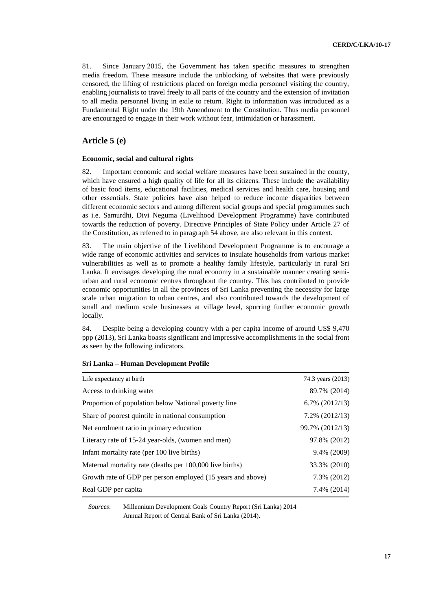81. Since January 2015, the Government has taken specific measures to strengthen media freedom. These measure include the unblocking of websites that were previously censored, the lifting of restrictions placed on foreign media personnel visiting the country, enabling journalists to travel freely to all parts of the country and the extension of invitation to all media personnel living in exile to return. Right to information was introduced as a Fundamental Right under the 19th Amendment to the Constitution. Thus media personnel are encouraged to engage in their work without fear, intimidation or harassment.

## **Article 5 (e)**

#### **Economic, social and cultural rights**

82. Important economic and social welfare measures have been sustained in the county, which have ensured a high quality of life for all its citizens. These include the availability of basic food items, educational facilities, medical services and health care, housing and other essentials. State policies have also helped to reduce income disparities between different economic sectors and among different social groups and special programmes such as i.e. Samurdhi, Divi Neguma (Livelihood Development Programme) have contributed towards the reduction of poverty. Directive Principles of State Policy under Article 27 of the Constitution, as referred to in paragraph 54 above, are also relevant in this context.

83. The main objective of the Livelihood Development Programme is to encourage a wide range of economic activities and services to insulate households from various market vulnerabilities as well as to promote a healthy family lifestyle, particularly in rural Sri Lanka. It envisages developing the rural economy in a sustainable manner creating semiurban and rural economic centres throughout the country. This has contributed to provide economic opportunities in all the provinces of Sri Lanka preventing the necessity for large scale urban migration to urban centres, and also contributed towards the development of small and medium scale businesses at village level, spurring further economic growth locally.

84. Despite being a developing country with a per capita income of around US\$ 9,470 ppp (2013), Sri Lanka boasts significant and impressive accomplishments in the social front as seen by the following indicators.

| Life expectancy at birth                                    | 74.3 years (2013) |
|-------------------------------------------------------------|-------------------|
| Access to drinking water                                    | 89.7% (2014)      |
| Proportion of population below National poverty line        | $6.7\%$ (2012/13) |
| Share of poorest quintile in national consumption           | 7.2% (2012/13)    |
| Net enrolment ratio in primary education                    | 99.7% (2012/13)   |
| Literacy rate of 15-24 year-olds, (women and men)           | 97.8% (2012)      |
| Infant mortality rate (per 100 live births)                 | 9.4% (2009)       |
| Maternal mortality rate (deaths per 100,000 live births)    | 33.3% (2010)      |
| Growth rate of GDP per person employed (15 years and above) | 7.3% (2012)       |
| Real GDP per capita                                         | 7.4% (2014)       |

#### **Sri Lanka – Human Development Profile**

*Sources*: Millennium Development Goals Country Report (Sri Lanka) 2014 Annual Report of Central Bank of Sri Lanka (2014).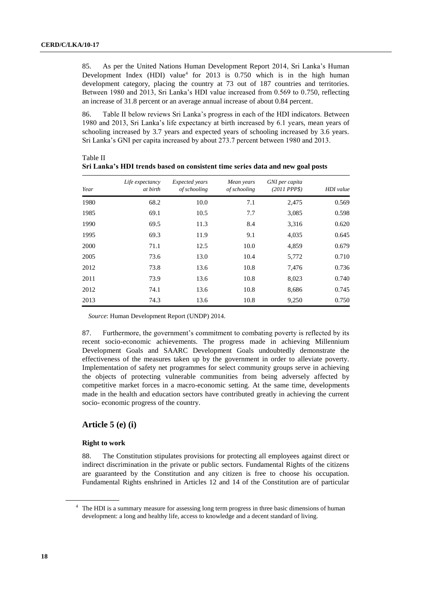85. As per the United Nations Human Development Report 2014, Sri Lanka's Human Development Index (HDI) value<sup>4</sup> for 2013 is  $0.750$  which is in the high human development category, placing the country at 73 out of 187 countries and territories. Between 1980 and 2013, Sri Lanka's HDI value increased from 0.569 to 0.750, reflecting an increase of 31.8 percent or an average annual increase of about 0.84 percent.

86. Table II below reviews Sri Lanka's progress in each of the HDI indicators. Between 1980 and 2013, Sri Lanka's life expectancy at birth increased by 6.1 years, mean years of schooling increased by 3.7 years and expected years of schooling increased by 3.6 years. Sri Lanka's GNI per capita increased by about 273.7 percent between 1980 and 2013.

| Year | Life expectancy<br>at birth | Expected years<br>of schooling | Mean years<br>of schooling | GNI per capita<br>$(2011$ PPP\$) | HDI value |
|------|-----------------------------|--------------------------------|----------------------------|----------------------------------|-----------|
| 1980 | 68.2                        | 10.0                           | 7.1                        | 2,475                            | 0.569     |
| 1985 | 69.1                        | 10.5                           | 7.7                        | 3,085                            | 0.598     |
| 1990 | 69.5                        | 11.3                           | 8.4                        | 3,316                            | 0.620     |
| 1995 | 69.3                        | 11.9                           | 9.1                        | 4,035                            | 0.645     |
| 2000 | 71.1                        | 12.5                           | 10.0                       | 4,859                            | 0.679     |
| 2005 | 73.6                        | 13.0                           | 10.4                       | 5,772                            | 0.710     |
| 2012 | 73.8                        | 13.6                           | 10.8                       | 7.476                            | 0.736     |
| 2011 | 73.9                        | 13.6                           | 10.8                       | 8,023                            | 0.740     |
| 2012 | 74.1                        | 13.6                           | 10.8                       | 8,686                            | 0.745     |
| 2013 | 74.3                        | 13.6                           | 10.8                       | 9,250                            | 0.750     |

| Table II                                                                       |  |  |
|--------------------------------------------------------------------------------|--|--|
| Sri Lanka's HDI trends based on consistent time series data and new goal posts |  |  |

*Source*: Human Development Report (UNDP) 2014.

87. Furthermore, the government's commitment to combating poverty is reflected by its recent socio-economic achievements. The progress made in achieving Millennium Development Goals and SAARC Development Goals undoubtedly demonstrate the effectiveness of the measures taken up by the government in order to alleviate poverty. Implementation of safety net programmes for select community groups serve in achieving the objects of protecting vulnerable communities from being adversely affected by competitive market forces in a macro-economic setting. At the same time, developments made in the health and education sectors have contributed greatly in achieving the current socio- economic progress of the country.

## **Article 5 (e) (i)**

#### **Right to work**

88. The Constitution stipulates provisions for protecting all employees against direct or indirect discrimination in the private or public sectors. Fundamental Rights of the citizens are guaranteed by the Constitution and any citizen is free to choose his occupation. Fundamental Rights enshrined in Articles 12 and 14 of the Constitution are of particular

<sup>&</sup>lt;sup>4</sup> The HDI is a summary measure for assessing long term progress in three basic dimensions of human development: a long and healthy life, access to knowledge and a decent standard of living.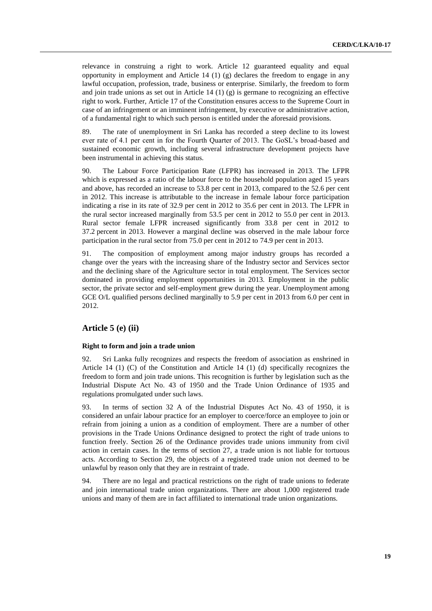relevance in construing a right to work. Article 12 guaranteed equality and equal opportunity in employment and Article  $14 \left( 1 \right) \left( g \right)$  declares the freedom to engage in any lawful occupation, profession, trade, business or enterprise. Similarly, the freedom to form and join trade unions as set out in Article 14 (1) (g) is germane to recognizing an effective right to work. Further, Article 17 of the Constitution ensures access to the Supreme Court in case of an infringement or an imminent infringement, by executive or administrative action, of a fundamental right to which such person is entitled under the aforesaid provisions.

89. The rate of unemployment in Sri Lanka has recorded a steep decline to its lowest ever rate of 4.1 per cent in for the Fourth Quarter of 2013. The GoSL's broad-based and sustained economic growth, including several infrastructure development projects have been instrumental in achieving this status.

90. The Labour Force Participation Rate (LFPR) has increased in 2013. The LFPR which is expressed as a ratio of the labour force to the household population aged 15 years and above, has recorded an increase to 53.8 per cent in 2013, compared to the 52.6 per cent in 2012. This increase is attributable to the increase in female labour force participation indicating a rise in its rate of 32.9 per cent in 2012 to 35.6 per cent in 2013. The LFPR in the rural sector increased marginally from 53.5 per cent in 2012 to 55.0 per cent in 2013. Rural sector female LFPR increased significantly from 33.8 per cent in 2012 to 37.2 percent in 2013. However a marginal decline was observed in the male labour force participation in the rural sector from 75.0 per cent in 2012 to 74.9 per cent in 2013.

91. The composition of employment among major industry groups has recorded a change over the years with the increasing share of the Industry sector and Services sector and the declining share of the Agriculture sector in total employment. The Services sector dominated in providing employment opportunities in 2013. Employment in the public sector, the private sector and self-employment grew during the year. Unemployment among GCE O/L qualified persons declined marginally to 5.9 per cent in 2013 from 6.0 per cent in 2012.

## **Article 5 (e) (ii)**

#### **Right to form and join a trade union**

92. Sri Lanka fully recognizes and respects the freedom of association as enshrined in Article 14 (1) (C) of the Constitution and Article 14 (1) (d) specifically recognizes the freedom to form and join trade unions. This recognition is further by legislation such as the Industrial Dispute Act No. 43 of 1950 and the Trade Union Ordinance of 1935 and regulations promulgated under such laws.

93. In terms of section 32 A of the Industrial Disputes Act No. 43 of 1950, it is considered an unfair labour practice for an employer to coerce/force an employee to join or refrain from joining a union as a condition of employment. There are a number of other provisions in the Trade Unions Ordinance designed to protect the right of trade unions to function freely. Section 26 of the Ordinance provides trade unions immunity from civil action in certain cases. In the terms of section 27, a trade union is not liable for tortuous acts. According to Section 29, the objects of a registered trade union not deemed to be unlawful by reason only that they are in restraint of trade.

94. There are no legal and practical restrictions on the right of trade unions to federate and join international trade union organizations. There are about 1,000 registered trade unions and many of them are in fact affiliated to international trade union organizations.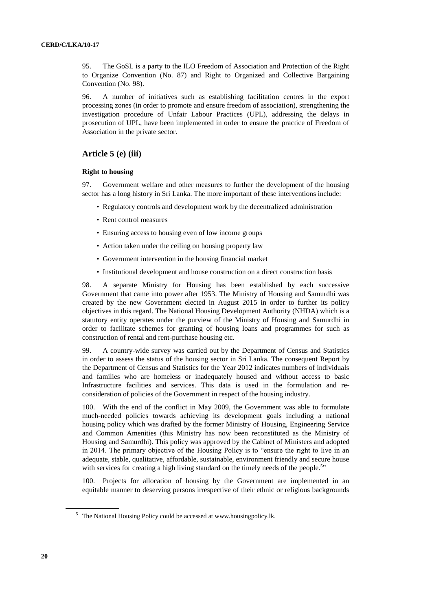95. The GoSL is a party to the ILO Freedom of Association and Protection of the Right to Organize Convention (No. 87) and Right to Organized and Collective Bargaining Convention (No. 98).

96. A number of initiatives such as establishing facilitation centres in the export processing zones (in order to promote and ensure freedom of association), strengthening the investigation procedure of Unfair Labour Practices (UPL), addressing the delays in prosecution of UPL, have been implemented in order to ensure the practice of Freedom of Association in the private sector.

#### **Article 5 (e) (iii)**

## **Right to housing**

97. Government welfare and other measures to further the development of the housing sector has a long history in Sri Lanka. The more important of these interventions include:

- Regulatory controls and development work by the decentralized administration
- Rent control measures
- Ensuring access to housing even of low income groups
- Action taken under the ceiling on housing property law
- Government intervention in the housing financial market
- Institutional development and house construction on a direct construction basis

98. A separate Ministry for Housing has been established by each successive Government that came into power after 1953. The Ministry of Housing and Samurdhi was created by the new Government elected in August 2015 in order to further its policy objectives in this regard. The National Housing Development Authority (NHDA) which is a statutory entity operates under the purview of the Ministry of Housing and Samurdhi in order to facilitate schemes for granting of housing loans and programmes for such as construction of rental and rent-purchase housing etc.

99. A country-wide survey was carried out by the Department of Census and Statistics in order to assess the status of the housing sector in Sri Lanka. The consequent Report by the Department of Census and Statistics for the Year 2012 indicates numbers of individuals and families who are homeless or inadequately housed and without access to basic Infrastructure facilities and services. This data is used in the formulation and reconsideration of policies of the Government in respect of the housing industry.

100. With the end of the conflict in May 2009, the Government was able to formulate much-needed policies towards achieving its development goals including a national housing policy which was drafted by the former Ministry of Housing, Engineering Service and Common Amenities (this Ministry has now been reconstituted as the Ministry of Housing and Samurdhi). This policy was approved by the Cabinet of Ministers and adopted in 2014. The primary objective of the Housing Policy is to "ensure the right to live in an adequate, stable, qualitative, affordable, sustainable, environment friendly and secure house with services for creating a high living standard on the timely needs of the people.<sup>5</sup>"

100. Projects for allocation of housing by the Government are implemented in an equitable manner to deserving persons irrespective of their ethnic or religious backgrounds

<sup>&</sup>lt;sup>5</sup> The National Housing Policy could be accessed at www.housingpolicy.lk.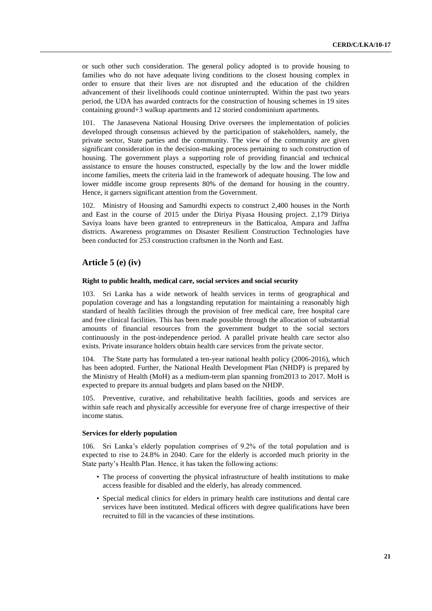or such other such consideration. The general policy adopted is to provide housing to families who do not have adequate living conditions to the closest housing complex in order to ensure that their lives are not disrupted and the education of the children advancement of their livelihoods could continue uninterrupted. Within the past two years period, the UDA has awarded contracts for the construction of housing schemes in 19 sites containing ground+3 walkup apartments and 12 storied condominium apartments.

101. The Janasevena National Housing Drive oversees the implementation of policies developed through consensus achieved by the participation of stakeholders, namely, the private sector, State parties and the community. The view of the community are given significant consideration in the decision-making process pertaining to such construction of housing. The government plays a supporting role of providing financial and technical assistance to ensure the houses constructed, especially by the low and the lower middle income families, meets the criteria laid in the framework of adequate housing. The low and lower middle income group represents 80% of the demand for housing in the country. Hence, it garners significant attention from the Government.

102. Ministry of Housing and Samurdhi expects to construct 2,400 houses in the North and East in the course of 2015 under the Diriya Piyasa Housing project. 2,179 Diriya Saviya loans have been granted to entrepreneurs in the Batticaloa, Ampara and Jaffna districts. Awareness programmes on Disaster Resilient Construction Technologies have been conducted for 253 construction craftsmen in the North and East.

## **Article 5 (e) (iv)**

#### **Right to public health, medical care, social services and social security**

103. Sri Lanka has a wide network of health services in terms of geographical and population coverage and has a longstanding reputation for maintaining a reasonably high standard of health facilities through the provision of free medical care, free hospital care and free clinical facilities. This has been made possible through the allocation of substantial amounts of financial resources from the government budget to the social sectors continuously in the post-independence period. A parallel private health care sector also exists. Private insurance holders obtain health care services from the private sector.

104. The State party has formulated a ten-year national health policy (2006-2016), which has been adopted. Further, the National Health Development Plan (NHDP) is prepared by the Ministry of Health (MoH) as a medium-term plan spanning from2013 to 2017. MoH is expected to prepare its annual budgets and plans based on the NHDP.

105. Preventive, curative, and rehabilitative health facilities, goods and services are within safe reach and physically accessible for everyone free of charge irrespective of their income status.

#### **Services for elderly population**

106. Sri Lanka's elderly population comprises of 9.2% of the total population and is expected to rise to 24.8% in 2040. Care for the elderly is accorded much priority in the State party's Health Plan. Hence, it has taken the following actions:

- The process of converting the physical infrastructure of health institutions to make access feasible for disabled and the elderly, has already commenced.
- Special medical clinics for elders in primary health care institutions and dental care services have been instituted. Medical officers with degree qualifications have been recruited to fill in the vacancies of these institutions.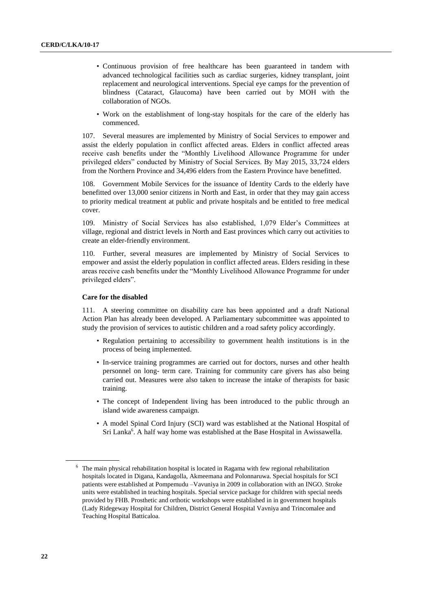- Continuous provision of free healthcare has been guaranteed in tandem with advanced technological facilities such as cardiac surgeries, kidney transplant, joint replacement and neurological interventions. Special eye camps for the prevention of blindness (Cataract, Glaucoma) have been carried out by MOH with the collaboration of NGOs.
- Work on the establishment of long-stay hospitals for the care of the elderly has commenced.

107. Several measures are implemented by Ministry of Social Services to empower and assist the elderly population in conflict affected areas. Elders in conflict affected areas receive cash benefits under the "Monthly Livelihood Allowance Programme for under privileged elders" conducted by Ministry of Social Services. By May 2015, 33,724 elders from the Northern Province and 34,496 elders from the Eastern Province have benefitted.

108. Government Mobile Services for the issuance of Identity Cards to the elderly have benefitted over 13,000 senior citizens in North and East, in order that they may gain access to priority medical treatment at public and private hospitals and be entitled to free medical cover.

109. Ministry of Social Services has also established, 1,079 Elder's Committees at village, regional and district levels in North and East provinces which carry out activities to create an elder-friendly environment.

110. Further, several measures are implemented by Ministry of Social Services to empower and assist the elderly population in conflict affected areas. Elders residing in these areas receive cash benefits under the "Monthly Livelihood Allowance Programme for under privileged elders".

#### **Care for the disabled**

111. A steering committee on disability care has been appointed and a draft National Action Plan has already been developed. A Parliamentary subcommittee was appointed to study the provision of services to autistic children and a road safety policy accordingly.

- Regulation pertaining to accessibility to government health institutions is in the process of being implemented.
- In-service training programmes are carried out for doctors, nurses and other health personnel on long- term care. Training for community care givers has also being carried out. Measures were also taken to increase the intake of therapists for basic training.
- The concept of Independent living has been introduced to the public through an island wide awareness campaign.
- A model Spinal Cord Injury (SCI) ward was established at the National Hospital of Sri Lanka<sup>6</sup>. A half way home was established at the Base Hospital in Awissawella.

 $6\text{ }$  The main physical rehabilitation hospital is located in Ragama with few regional rehabilitation hospitals located in Digana, Kandagolla, Akmeemana and Polonnaruwa. Special hospitals for SCI patients were established at Pompemudu –Vavuniya in 2009 in collaboration with an INGO. Stroke units were established in teaching hospitals. Special service package for children with special needs provided by FHB. Prosthetic and orthotic workshops were established in in government hospitals (Lady Ridegeway Hospital for Children, District General Hospital Vavniya and Trincomalee and Teaching Hospital Batticaloa.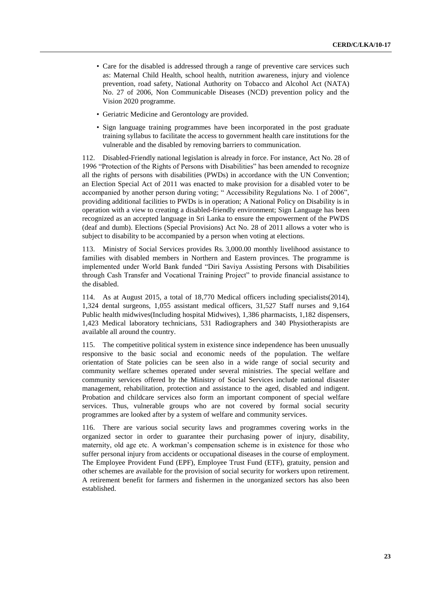- Care for the disabled is addressed through a range of preventive care services such as: Maternal Child Health, school health, nutrition awareness, injury and violence prevention, road safety, National Authority on Tobacco and Alcohol Act (NATA) No. 27 of 2006, Non Communicable Diseases (NCD) prevention policy and the Vision 2020 programme.
- Geriatric Medicine and Gerontology are provided.
- Sign language training programmes have been incorporated in the post graduate training syllabus to facilitate the access to government health care institutions for the vulnerable and the disabled by removing barriers to communication.

112. Disabled-Friendly national legislation is already in force. For instance, Act No. 28 of 1996 "Protection of the Rights of Persons with Disabilities" has been amended to recognize all the rights of persons with disabilities (PWDs) in accordance with the UN Convention; an Election Special Act of 2011 was enacted to make provision for a disabled voter to be accompanied by another person during voting; " Accessibility Regulations No. 1 of 2006", providing additional facilities to PWDs is in operation; A National Policy on Disability is in operation with a view to creating a disabled-friendly environment; Sign Language has been recognized as an accepted language in Sri Lanka to ensure the empowerment of the PWDS (deaf and dumb). Elections (Special Provisions) Act No. 28 of 2011 allows a voter who is subject to disability to be accompanied by a person when voting at elections.

113. Ministry of Social Services provides Rs. 3,000.00 monthly livelihood assistance to families with disabled members in Northern and Eastern provinces. The programme is implemented under World Bank funded "Diri Saviya Assisting Persons with Disabilities through Cash Transfer and Vocational Training Project" to provide financial assistance to the disabled.

114. As at August 2015, a total of 18,770 Medical officers including specialists(2014), 1,324 dental surgeons, 1,055 assistant medical officers, 31,527 Staff nurses and 9,164 Public health midwives(Including hospital Midwives), 1,386 pharmacists, 1,182 dispensers, 1,423 Medical laboratory technicians, 531 Radiographers and 340 Physiotherapists are available all around the country.

115. The competitive political system in existence since independence has been unusually responsive to the basic social and economic needs of the population. The welfare orientation of State policies can be seen also in a wide range of social security and community welfare schemes operated under several ministries. The special welfare and community services offered by the Ministry of Social Services include national disaster management, rehabilitation, protection and assistance to the aged, disabled and indigent. Probation and childcare services also form an important component of special welfare services. Thus, vulnerable groups who are not covered by formal social security programmes are looked after by a system of welfare and community services.

116. There are various social security laws and programmes covering works in the organized sector in order to guarantee their purchasing power of injury, disability, maternity, old age etc. A workman's compensation scheme is in existence for those who suffer personal injury from accidents or occupational diseases in the course of employment. The Employee Provident Fund (EPF), Employee Trust Fund (ETF), gratuity, pension and other schemes are available for the provision of social security for workers upon retirement. A retirement benefit for farmers and fishermen in the unorganized sectors has also been established.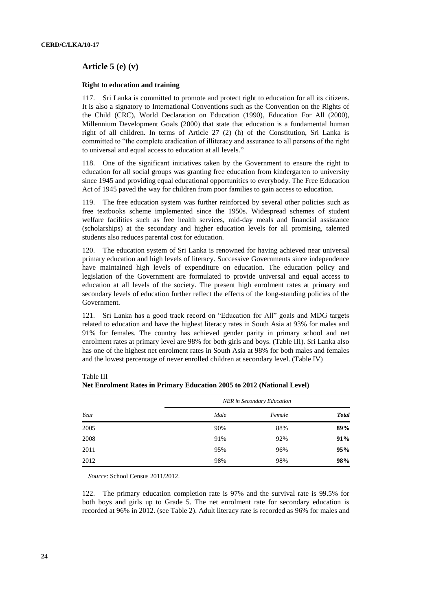## **Article 5 (e) (v)**

#### **Right to education and training**

117. Sri Lanka is committed to promote and protect right to education for all its citizens. It is also a signatory to International Conventions such as the Convention on the Rights of the Child (CRC), World Declaration on Education (1990), Education For All (2000), Millennium Development Goals (2000) that state that education is a fundamental human right of all children. In terms of Article 27 (2) (h) of the Constitution, Sri Lanka is committed to "the complete eradication of illiteracy and assurance to all persons of the right to universal and equal access to education at all levels."

118. One of the significant initiatives taken by the Government to ensure the right to education for all social groups was granting free education from kindergarten to university since 1945 and providing equal educational opportunities to everybody. The Free Education Act of 1945 paved the way for children from poor families to gain access to education.

119. The free education system was further reinforced by several other policies such as free textbooks scheme implemented since the 1950s. Widespread schemes of student welfare facilities such as free health services, mid-day meals and financial assistance (scholarships) at the secondary and higher education levels for all promising, talented students also reduces parental cost for education.

120. The education system of Sri Lanka is renowned for having achieved near universal primary education and high levels of literacy. Successive Governments since independence have maintained high levels of expenditure on education. The education policy and legislation of the Government are formulated to provide universal and equal access to education at all levels of the society. The present high enrolment rates at primary and secondary levels of education further reflect the effects of the long-standing policies of the Government.

121. Sri Lanka has a good track record on "Education for All" goals and MDG targets related to education and have the highest literacy rates in South Asia at 93% for males and 91% for females. The country has achieved gender parity in primary school and net enrolment rates at primary level are 98% for both girls and boys. (Table III). Sri Lanka also has one of the highest net enrolment rates in South Asia at 98% for both males and females and the lowest percentage of never enrolled children at secondary level. (Table IV)

|      |      | <b>NER</b> in Secondary Education |              |
|------|------|-----------------------------------|--------------|
| Year | Male | Female                            | <b>Total</b> |
| 2005 | 90%  | 88%                               | 89%          |
| 2008 | 91%  | 92%                               | 91%          |
| 2011 | 95%  | 96%                               | 95%          |
| 2012 | 98%  | 98%                               | 98%          |

Table III **Net Enrolment Rates in Primary Education 2005 to 2012 (National Level)**

*Source*: School Census 2011/2012.

122. The primary education completion rate is 97% and the survival rate is 99.5% for both boys and girls up to Grade 5. The net enrolment rate for secondary education is recorded at 96% in 2012. (see Table 2). Adult literacy rate is recorded as 96% for males and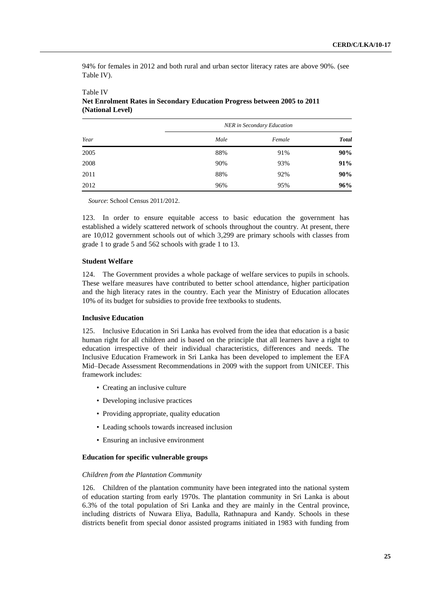94% for females in 2012 and both rural and urban sector literacy rates are above 90%. (see Table IV).

|      |      | NER in Secondary Education |              |
|------|------|----------------------------|--------------|
| Year | Male | Female                     | <b>Total</b> |
| 2005 | 88%  | 91%                        | 90%          |
| 2008 | 90%  | 93%                        | 91%          |
| 2011 | 88%  | 92%                        | 90%          |
| 2012 | 96%  | 95%                        | 96%          |

## Table IV **Net Enrolment Rates in Secondary Education Progress between 2005 to 2011 (National Level)**

*Source*: School Census 2011/2012.

123. In order to ensure equitable access to basic education the government has established a widely scattered network of schools throughout the country. At present, there are 10,012 government schools out of which 3,299 are primary schools with classes from grade 1 to grade 5 and 562 schools with grade 1 to 13.

## **Student Welfare**

124. The Government provides a whole package of welfare services to pupils in schools. These welfare measures have contributed to better school attendance, higher participation and the high literacy rates in the country. Each year the Ministry of Education allocates 10% of its budget for subsidies to provide free textbooks to students.

## **Inclusive Education**

125. Inclusive Education in Sri Lanka has evolved from the idea that education is a basic human right for all children and is based on the principle that all learners have a right to education irrespective of their individual characteristics, differences and needs. The Inclusive Education Framework in Sri Lanka has been developed to implement the EFA Mid–Decade Assessment Recommendations in 2009 with the support from UNICEF. This framework includes:

- Creating an inclusive culture
- Developing inclusive practices
- Providing appropriate, quality education
- Leading schools towards increased inclusion
- Ensuring an inclusive environment

#### **Education for specific vulnerable groups**

## *Children from the Plantation Community*

126. Children of the plantation community have been integrated into the national system of education starting from early 1970s. The plantation community in Sri Lanka is about 6.3% of the total population of Sri Lanka and they are mainly in the Central province, including districts of Nuwara Eliya, Badulla, Rathnapura and Kandy. Schools in these districts benefit from special donor assisted programs initiated in 1983 with funding from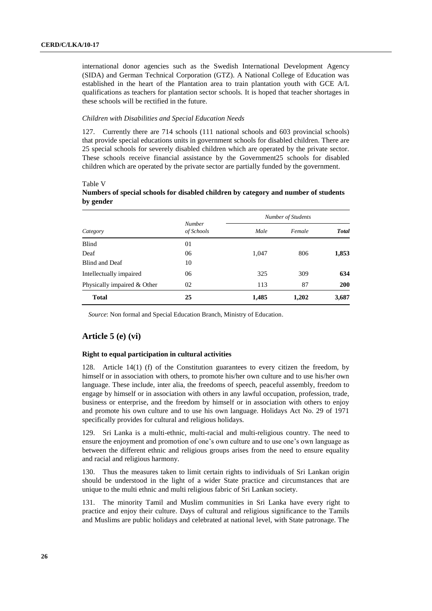international donor agencies such as the Swedish International Development Agency (SIDA) and German Technical Corporation (GTZ). A National College of Education was established in the heart of the Plantation area to train plantation youth with GCE A/L qualifications as teachers for plantation sector schools. It is hoped that teacher shortages in these schools will be rectified in the future.

#### *Children with Disabilities and Special Education Needs*

127. Currently there are 714 schools (111 national schools and 603 provincial schools) that provide special educations units in government schools for disabled children. There are 25 special schools for severely disabled children which are operated by the private sector. These schools receive financial assistance by the Government25 schools for disabled children which are operated by the private sector are partially funded by the government.

|                             |                             | Number of Students |        |       |  |
|-----------------------------|-----------------------------|--------------------|--------|-------|--|
| Category                    | <b>Number</b><br>of Schools | Male               | Female | Total |  |
| Blind                       | 01                          |                    |        |       |  |
| Deaf                        | 06                          | 1,047              | 806    | 1,853 |  |
| Blind and Deaf              | 10                          |                    |        |       |  |
| Intellectually impaired     | 06                          | 325                | 309    | 634   |  |
| Physically impaired & Other | 02                          | 113                | 87     | 200   |  |
| <b>Total</b>                | 25                          | 1,485              | 1,202  | 3,687 |  |

Table V

## **Numbers of special schools for disabled children by category and number of students by gender**

*Source*: Non formal and Special Education Branch, Ministry of Education.

## **Article 5 (e) (vi)**

## **Right to equal participation in cultural activities**

128. Article 14(1) (f) of the Constitution guarantees to every citizen the freedom, by himself or in association with others, to promote his/her own culture and to use his/her own language. These include, inter alia, the freedoms of speech, peaceful assembly, freedom to engage by himself or in association with others in any lawful occupation, profession, trade, business or enterprise, and the freedom by himself or in association with others to enjoy and promote his own culture and to use his own language. Holidays Act No. 29 of 1971 specifically provides for cultural and religious holidays.

129. Sri Lanka is a multi-ethnic, multi-racial and multi-religious country. The need to ensure the enjoyment and promotion of one's own culture and to use one's own language as between the different ethnic and religious groups arises from the need to ensure equality and racial and religious harmony.

Thus the measures taken to limit certain rights to individuals of Sri Lankan origin should be understood in the light of a wider State practice and circumstances that are unique to the multi ethnic and multi religious fabric of Sri Lankan society.

131. The minority Tamil and Muslim communities in Sri Lanka have every right to practice and enjoy their culture. Days of cultural and religious significance to the Tamils and Muslims are public holidays and celebrated at national level, with State patronage. The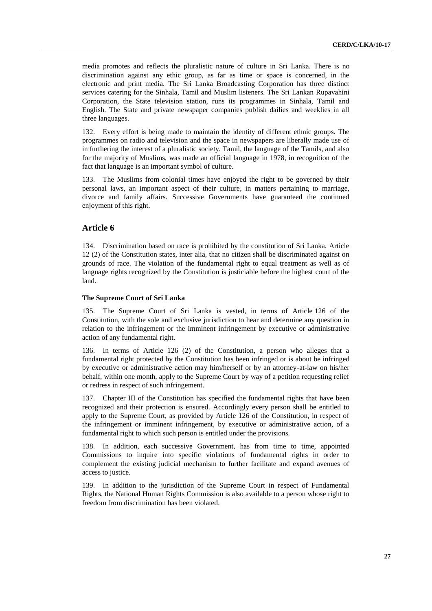media promotes and reflects the pluralistic nature of culture in Sri Lanka. There is no discrimination against any ethic group, as far as time or space is concerned, in the electronic and print media. The Sri Lanka Broadcasting Corporation has three distinct services catering for the Sinhala, Tamil and Muslim listeners. The Sri Lankan Rupavahini Corporation, the State television station, runs its programmes in Sinhala, Tamil and English. The State and private newspaper companies publish dailies and weeklies in all three languages.

132. Every effort is being made to maintain the identity of different ethnic groups. The programmes on radio and television and the space in newspapers are liberally made use of in furthering the interest of a pluralistic society. Tamil, the language of the Tamils, and also for the majority of Muslims, was made an official language in 1978, in recognition of the fact that language is an important symbol of culture.

133. The Muslims from colonial times have enjoyed the right to be governed by their personal laws, an important aspect of their culture, in matters pertaining to marriage, divorce and family affairs. Successive Governments have guaranteed the continued enjoyment of this right.

## **Article 6**

134. Discrimination based on race is prohibited by the constitution of Sri Lanka. Article 12 (2) of the Constitution states, inter alia, that no citizen shall be discriminated against on grounds of race. The violation of the fundamental right to equal treatment as well as of language rights recognized by the Constitution is justiciable before the highest court of the land.

#### **The Supreme Court of Sri Lanka**

135. The Supreme Court of Sri Lanka is vested, in terms of Article 126 of the Constitution, with the sole and exclusive jurisdiction to hear and determine any question in relation to the infringement or the imminent infringement by executive or administrative action of any fundamental right.

136. In terms of Article 126 (2) of the Constitution, a person who alleges that a fundamental right protected by the Constitution has been infringed or is about be infringed by executive or administrative action may him/herself or by an attorney-at-law on his/her behalf, within one month, apply to the Supreme Court by way of a petition requesting relief or redress in respect of such infringement.

137. Chapter III of the Constitution has specified the fundamental rights that have been recognized and their protection is ensured. Accordingly every person shall be entitled to apply to the Supreme Court, as provided by Article 126 of the Constitution, in respect of the infringement or imminent infringement, by executive or administrative action, of a fundamental right to which such person is entitled under the provisions.

138. In addition, each successive Government, has from time to time, appointed Commissions to inquire into specific violations of fundamental rights in order to complement the existing judicial mechanism to further facilitate and expand avenues of access to justice.

139. In addition to the jurisdiction of the Supreme Court in respect of Fundamental Rights, the National Human Rights Commission is also available to a person whose right to freedom from discrimination has been violated.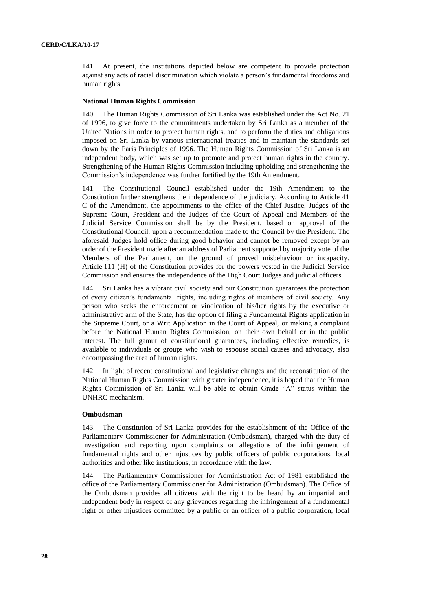141. At present, the institutions depicted below are competent to provide protection against any acts of racial discrimination which violate a person's fundamental freedoms and human rights.

#### **National Human Rights Commission**

140. The Human Rights Commission of Sri Lanka was established under the Act No. 21 of 1996, to give force to the commitments undertaken by Sri Lanka as a member of the United Nations in order to protect human rights, and to perform the duties and obligations imposed on Sri Lanka by various international treaties and to maintain the standards set down by the Paris Principles of 1996. The Human Rights Commission of Sri Lanka is an independent body, which was set up to promote and protect human rights in the country. Strengthening of the Human Rights Commission including upholding and strengthening the Commission's independence was further fortified by the 19th Amendment.

141. The Constitutional Council established under the 19th Amendment to the Constitution further strengthens the independence of the judiciary. According to Article 41 C of the Amendment, the appointments to the office of the Chief Justice, Judges of the Supreme Court, President and the Judges of the Court of Appeal and Members of the Judicial Service Commission shall be by the President, based on approval of the Constitutional Council, upon a recommendation made to the Council by the President. The aforesaid Judges hold office during good behavior and cannot be removed except by an order of the President made after an address of Parliament supported by majority vote of the Members of the Parliament, on the ground of proved misbehaviour or incapacity. Article 111 (H) of the Constitution provides for the powers vested in the Judicial Service Commission and ensures the independence of the High Court Judges and judicial officers.

144. Sri Lanka has a vibrant civil society and our Constitution guarantees the protection of every citizen's fundamental rights, including rights of members of civil society. Any person who seeks the enforcement or vindication of his/her rights by the executive or administrative arm of the State, has the option of filing a Fundamental Rights application in the Supreme Court, or a Writ Application in the Court of Appeal, or making a complaint before the National Human Rights Commission, on their own behalf or in the public interest. The full gamut of constitutional guarantees, including effective remedies, is available to individuals or groups who wish to espouse social causes and advocacy, also encompassing the area of human rights.

142. In light of recent constitutional and legislative changes and the reconstitution of the National Human Rights Commission with greater independence, it is hoped that the Human Rights Commission of Sri Lanka will be able to obtain Grade "A" status within the UNHRC mechanism.

#### **Ombudsman**

143. The Constitution of Sri Lanka provides for the establishment of the Office of the Parliamentary Commissioner for Administration (Ombudsman), charged with the duty of investigation and reporting upon complaints or allegations of the infringement of fundamental rights and other injustices by public officers of public corporations, local authorities and other like institutions, in accordance with the law.

144. The Parliamentary Commissioner for Administration Act of 1981 established the office of the Parliamentary Commissioner for Administration (Ombudsman). The Office of the Ombudsman provides all citizens with the right to be heard by an impartial and independent body in respect of any grievances regarding the infringement of a fundamental right or other injustices committed by a public or an officer of a public corporation, local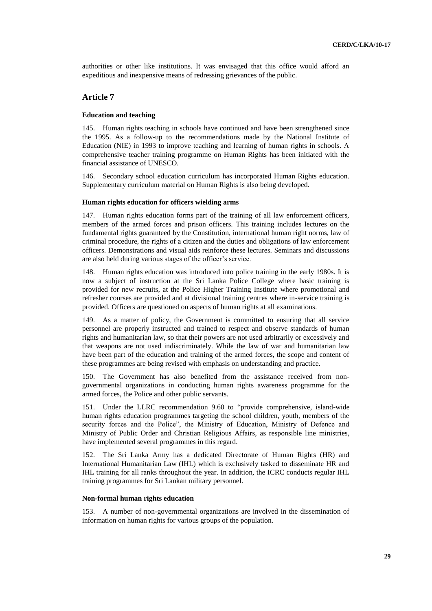authorities or other like institutions. It was envisaged that this office would afford an expeditious and inexpensive means of redressing grievances of the public.

## **Article 7**

#### **Education and teaching**

145. Human rights teaching in schools have continued and have been strengthened since the 1995. As a follow-up to the recommendations made by the National Institute of Education (NIE) in 1993 to improve teaching and learning of human rights in schools. A comprehensive teacher training programme on Human Rights has been initiated with the financial assistance of UNESCO.

146. Secondary school education curriculum has incorporated Human Rights education. Supplementary curriculum material on Human Rights is also being developed.

## **Human rights education for officers wielding arms**

147. Human rights education forms part of the training of all law enforcement officers, members of the armed forces and prison officers. This training includes lectures on the fundamental rights guaranteed by the Constitution, international human right norms, law of criminal procedure, the rights of a citizen and the duties and obligations of law enforcement officers. Demonstrations and visual aids reinforce these lectures. Seminars and discussions are also held during various stages of the officer's service.

148. Human rights education was introduced into police training in the early 1980s. It is now a subject of instruction at the Sri Lanka Police College where basic training is provided for new recruits, at the Police Higher Training Institute where promotional and refresher courses are provided and at divisional training centres where in-service training is provided. Officers are questioned on aspects of human rights at all examinations.

149. As a matter of policy, the Government is committed to ensuring that all service personnel are properly instructed and trained to respect and observe standards of human rights and humanitarian law, so that their powers are not used arbitrarily or excessively and that weapons are not used indiscriminately. While the law of war and humanitarian law have been part of the education and training of the armed forces, the scope and content of these programmes are being revised with emphasis on understanding and practice.

150. The Government has also benefited from the assistance received from nongovernmental organizations in conducting human rights awareness programme for the armed forces, the Police and other public servants.

Under the LLRC recommendation 9.60 to "provide comprehensive, island-wide human rights education programmes targeting the school children, youth, members of the security forces and the Police", the Ministry of Education, Ministry of Defence and Ministry of Public Order and Christian Religious Affairs, as responsible line ministries, have implemented several programmes in this regard.

152. The Sri Lanka Army has a dedicated Directorate of Human Rights (HR) and International Humanitarian Law (IHL) which is exclusively tasked to disseminate HR and IHL training for all ranks throughout the year. In addition, the ICRC conducts regular IHL training programmes for Sri Lankan military personnel.

#### **Non-formal human rights education**

153. A number of non-governmental organizations are involved in the dissemination of information on human rights for various groups of the population.